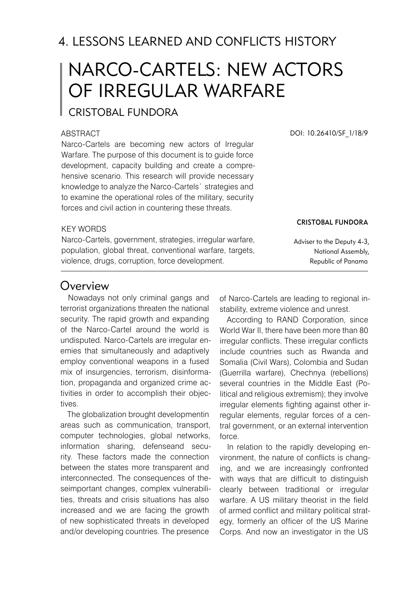# 4. LESSONS LEARNED AND CONFLICTS HISTORY

# NARCO-CARTELS: NEW ACTORS OF IRREGULAR WARFARE

Cristobal Fundora

#### **ABSTRACT**

Narco-Cartels are becoming new actors of Irregular Warfare. The purpose of this document is to guide force development, capacity building and create a comprehensive scenario. This research will provide necessary knowledge to analyze the Narco-Cartels´ strategies and to examine the operational roles of the military, security forces and civil action in countering these threats.

#### KFY WORDS

Narco-Cartels, government, strategies, irregular warfare, population, global threat, conventional warfare, targets, violence, drugs, corruption, force development.

DOI: 10.26410/SF\_1/18/9

Cristobal Fundora

Adviser to the Deputy 4-3, National Assembly, Republic of Panama

### **Overview**

Nowadays not only criminal gangs and terrorist organizations threaten the national security. The rapid growth and expanding of the Narco-Cartel around the world is undisputed. Narco-Cartels are irregular enemies that simultaneously and adaptively employ conventional weapons in a fused mix of insurgencies, terrorism, disinformation, propaganda and organized crime activities in order to accomplish their objectives.

The globalization brought developmentin areas such as communication, transport, computer technologies, global networks, information sharing, defenseand security. These factors made the connection between the states more transparent and interconnected. The consequences of theseimportant changes, complex vulnerabilities, threats and crisis situations has also increased and we are facing the growth of new sophisticated threats in developed and/or developing countries. The presence

of Narco-Cartels are leading to regional instability, extreme violence and unrest.

According to RAND Corporation, since World War II, there have been more than 80 irregular conflicts. These irregular conflicts include countries such as Rwanda and Somalia (Civil Wars), Colombia and Sudan (Guerrilla warfare), Chechnya (rebellions) several countries in the Middle East (Political and religious extremism); they involve irregular elements fighting against other irregular elements, regular forces of a central government, or an external intervention force.

In relation to the rapidly developing environment, the nature of conflicts is changing, and we are increasingly confronted with ways that are difficult to distinguish clearly between traditional or irregular warfare. A US military theorist in the field of armed conflict and military political strategy, formerly an officer of the US Marine Corps. And now an investigator in the US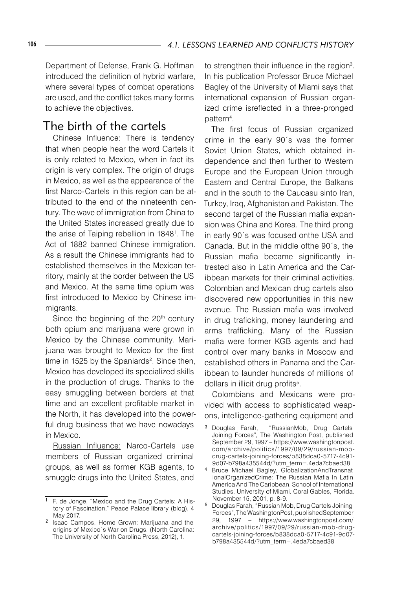Department of Defense, Frank G. Hoffman introduced the definition of hybrid warfare, where several types of combat operations are used, and the conflict takes many forms to achieve the objectives.

## The birth of the cartels

Chinese Influence: There is tendency that when people hear the word Cartels it is only related to Mexico, when in fact its origin is very complex. The origin of drugs in Mexico, as well as the appearance of the first Narco-Cartels in this region can be attributed to the end of the nineteenth century. The wave of immigration from China to the United States increased greatly due to the arise of Taiping rebellion in 1848<sup>1</sup>. The Act of 1882 banned Chinese immigration. As a result the Chinese immigrants had to established themselves in the Mexican territory, mainly at the border between the US and Mexico. At the same time opium was first introduced to Mexico by Chinese immigrants.

Since the beginning of the  $20<sup>th</sup>$  century both opium and marijuana were grown in Mexico by the Chinese community. Marijuana was brought to Mexico for the first time in 1525 by the Spaniards<sup>2</sup>. Since then, Mexico has developed its specialized skills in the production of drugs. Thanks to the easy smuggling between borders at that time and an excellent profitable market in the North, it has developed into the powerful drug business that we have nowadays in Mexico.

Russian Influence: Narco-Cartels use members of Russian organized criminal groups, as well as former KGB agents, to smuggle drugs into the United States, and

to strengthen their influence in the region . In his publication Professor Bruce Michael Bagley of the University of Miami says that international expansion of Russian organized crime isreflected in a three-pronged pattern<sup>4</sup>.

The first focus of Russian organized crime in the early 90´s was the former Soviet Union States, which obtained independence and then further to Western Europe and the European Union through Eastern and Central Europe, the Balkans and in the south to the Caucasu sinto Iran, Turkey, Iraq, Afghanistan and Pakistan. The second target of the Russian mafia expansion was China and Korea. The third prong in early 90´s was focused onthe USA and Canada. But in the middle ofthe 90´s, the Russian mafia became significantly intrested also in Latin America and the Caribbean markets for their criminal activities. Colombian and Mexican drug cartels also discovered new opportunities in this new avenue. The Russian mafia was involved in drug traficking, money laundering and arms trafficking. Many of the Russian mafia were former KGB agents and had control over many banks in Moscow and established others in Panama and the Caribbean to launder hundreds of millions of dollars in illicit drug profits<sup>5</sup>.

Colombians and Mexicans were provided with access to sophisticated weapons, intelligence-gathering equipment and

F. de Jonge, "Mexico and the Drug Cartels: A History of Fascination," Peace Palace library (blog), 4 May 2017.

<sup>&</sup>lt;sup>2</sup> Isaac Campos, Home Grown: Marijuana and the origins of Mexico´s War on Drugs. (North Carolina: The University of North Carolina Press, 2012), 1.

<sup>&</sup>lt;sup>3</sup> Douglas Farah, "RussianMob, Drug Cartels Joining Forces", The Washington Post, published September 29, 1997 – https://www.washingtonpost. com/archive/politics/1997/09/29/russian-mobdrug-cartels-joining-forces/b838dca0-5717-4c91- 9d07-b798a435544d/?utm\_term=.4eda7cbaed38

Bruce Michael Bagley, GlobalizationAndTransnat ionalOrganizedCrime: The Russian Mafia In Latin America And The Caribbean. School of International Studies. University of Miami. Coral Gables, Florida. November 15, 2001, p. 8-9.

<sup>5</sup> Douglas Farah, "Russian Mob, Drug Cartels Joining Forces", The WashingtonPost, publishedSeptember 29, 1997 – https://www.washingtonpost.com/ archive/politics/1997/09/29/russian-mob-drugcartels-joining-forces/b838dca0-5717-4c91-9d07 b798a435544d/?utm\_term=.4eda7cbaed38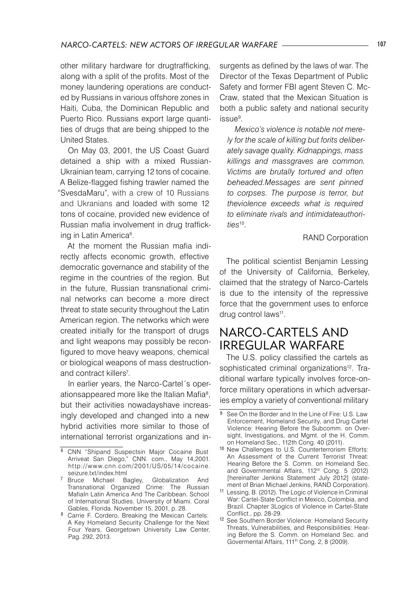other military hardware for drugtrafficking, along with a split of the profits. Most of the money laundering operations are conducted by Russians in various offshore zones in Haiti, Cuba, the Dominican Republic and Puerto Rico. Russians export large quantities of drugs that are being shipped to the United States.

On May 03, 2001, the US Coast Guard detained a ship with a mixed Russian-Ukrainian team, carrying 12 tons of cocaine. A Belize-flagged fishing trawler named the "SvesdaMaru", with a crew of 10 Russians and Ukranians and loaded with some 12 tons of cocaine, provided new evidence of Russian mafia involvement in drug trafficking in Latin America .

At the moment the Russian mafia indirectly affects economic growth, effective democratic governance and stability of the regime in the countries of the region. But in the future, Russian transnational criminal networks can become a more direct threat to state security throughout the Latin American region. The networks which were created initially for the transport of drugs and light weapons may possibly be reconfigured to move heavy weapons, chemical or biological weapons of mass destructionand contract killers<sup>7</sup>.

In earlier years, the Narco-Cartel´s operationsappeared more like the Italian Mafia<sup>8</sup>, but their activities nowadayshave increasingly developed and changed into a new hybrid activities more similar to those of international terrorist organizations and insurgents as defined by the laws of war. The Director of the Texas Department of Public Safety and former FBI agent Steven C. Mc-Craw, stated that the Mexican Situation is both a public safety and national security  $issize<sup>9</sup>$ 

*Mexico's violence is notable not merely for the scale of killing but forits deliberately savage quality. Kidnappings, mass killings and massgraves are common. Victims are brutally tortured and often beheaded.Messages are sent pinned to corpses. The purpose is terror, but theviolence exceeds what is required to eliminate rivals and intimidateauthorities*<sup>10</sup>*.*

#### RAND Corporation

The political scientist Benjamin Lessing of the University of California, Berkeley, claimed that the strategy of Narco-Cartels is due to the intensity of the repressive force that the government uses to enforce drug control laws<sup>11</sup>.

### NARCO-CARTELS AND IRREGULAR WARFARE

The U.S. policy classified the cartels as sophisticated criminal organizations<sup>12</sup>. Traditional warfare typically involves force-onforce military operations in which adversaries employ a variety of conventional military

<sup>&</sup>lt;sup>6</sup> CNN "Shipand Suspectsin Major Cocaine Bust Arriveat San Diego," CNN. com., May 14,2001. http://w w w.cnn.com/2001/US/05/14/cocaine. seizure.txt/index.html

<sup>&</sup>lt;sup>7</sup> Bruce Michael Bagley, Globalization And Transnational Organized Crime: The Russian MafiaIn Latin America And The Caribbean. School of International Studies. University of Miami. Coral Gables, Florida. November 15, 2001, p. 28.

<sup>8</sup> Carrie F. Cordero, Breaking the Mexican Cartels: A Key Homeland Security Challenge for the Next Four Years, Georgetown University Law Center, Pag. 292, 2013.

<sup>&</sup>lt;sup>9</sup> See On the Border and In the Line of Fire: U.S. Law Enforcement, Homeland Security, and Drug Cartel Violence: Hearing Before the Subcomm. on Oversight, Investigations, and Mgmt. of the H. Comm. on Homeland Sec., 112th Cong. 40 (2011).

<sup>10</sup> New Challenges to U.S. Counterterrorism Efforts: An Assessment of the Current Terrorist Threat: Hearing Before the S. Comm. on Homeland Sec. and Governmental Affairs, 112<sup>th</sup> Cong. 5 (2012) [hereinafter Jenkins Statement July 2012] (statement of Brian Michael Jenkins, RAND Corporation).

<sup>11</sup> Lessing, B. (2012). The Logic of Violence in Criminal War: Cartel-State Conflict in Mexico, Colombia, and Brazil. Chapter 3Logics of Violence in Cartel-State Conflict., pp. 28-29.

<sup>12</sup> See Southern Border Violence: Homeland Security Threats, Vulnerabilities, and Responsibilities: Hearing Before the S. Comm. on Homeland Sec. and Govermental Affairs, 111<sup>th</sup> Cong. 2, 8 (2009).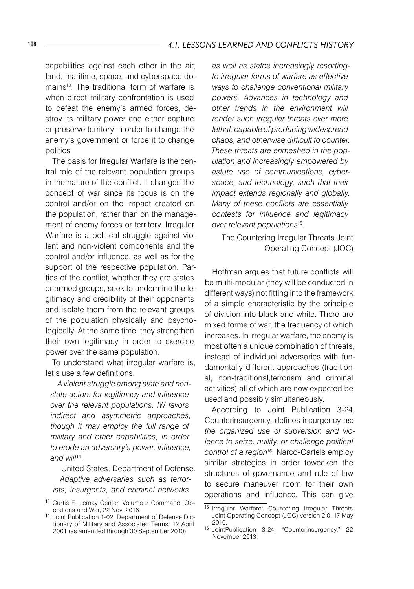capabilities against each other in the air, land, maritime, space, and cyberspace domains<sup>13</sup>. The traditional form of warfare is when direct military confrontation is used to defeat the enemy's armed forces, destroy its military power and either capture or preserve territory in order to change the enemy's government or force it to change politics.

The basis for Irregular Warfare is the central role of the relevant population groups in the nature of the conflict. It changes the concept of war since its focus is on the control and/or on the impact created on the population, rather than on the management of enemy forces or territory. Irregular Warfare is a political struggle against violent and non-violent components and the control and/or influence, as well as for the support of the respective population. Parties of the conflict, whether they are states or armed groups, seek to undermine the legitimacy and credibility of their opponents and isolate them from the relevant groups of the population physically and psychologically. At the same time, they strengthen their own legitimacy in order to exercise power over the same population.

To understand what irregular warfare is, let's use a few definitions.

*A violent struggle among state and nonstate actors for legitimacy and influence over the relevant populations. IW favors indirect and asymmetric approaches, though it may employ the full range of military and other capabilities, in order to erode an adversary's power, influence, and will*14.

United States, Department of Defense. *Adaptive adversaries such as terrorists, insurgents, and criminal networks* 

*as well as states increasingly resortingto irregular forms of warfare as effective ways to challenge conventional military powers. Advances in technology and other trends in the environment will render such irregular threats ever more lethal, capable of producing widespread chaos, and otherwise difficult to counter. These threats are enmeshed in the population and increasingly empowered by astute use of communications, cyberspace, and technology, such that their impact extends regionally and globally. Many of these conflicts are essentially contests for influence and legitimacy over relevant populations15*.

The Countering Irregular Threats Joint Operating Concept (JOC)

Hoffman argues that future conflicts will be multi-modular (they will be conducted in different ways) not fitting into the framework of a simple characteristic by the principle of division into black and white. There are mixed forms of war, the frequency of which increases. In irregular warfare, the enemy is most often a unique combination of threats, instead of individual adversaries with fundamentally different approaches (traditional, non-traditional,terrorism and criminal activities) all of which are now expected be used and possibly simultaneously.

According to Joint Publication 3-24, Counterinsurgency, defines insurgency as: *the organized use of subversion and violence to seize, nullify, or challenge political control of a region16*. Narco-Cartels employ similar strategies in order toweaken the structures of governance and rule of law to secure maneuver room for their own operations and influence. This can give

<sup>13</sup> Curtis E. Lemay Center, Volume 3 Command, Operations and War, 22 Nov. 2016.

<sup>14</sup> Joint Publication 1-02, Department of Defense Dictionary of Military and Associated Terms, 12 April 2001 (as amended through 30 September 2010).

<sup>15</sup> Irregular Warfare: Countering Irregular Threats Joint Operating Concept (JOC) version 2.0, 17 May 2010.

<sup>16</sup> JointPublication 3-24. "Counterinsurgency." 22 November 2013.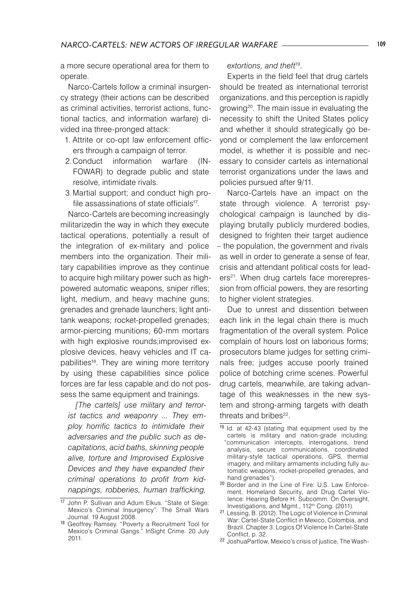a more secure operational area for them to operate.

Narco-Cartels follow a criminal insurgency strategy (their actions can be described as criminal activities, terrorist actions, functional tactics, and information warfare) divided ina three-pronged attack:

- 1. Attrite or co-opt law enforcement officers through a campaign of terror.
- 2. Conduct information warfare (IN-FOWAR) to degrade public and state resolve, intimidate rivals.
- 3.Martial support; and conduct high profile assassinations of state officials<sup>17</sup>.

Narco-Cartels are becoming increasingly militarizedin the way in which they execute tactical operations, potentially a result of the integration of ex-military and police members into the organization. Their military capabilities improve as they continue to acquire high military power such as highpowered automatic weapons, sniper rifles; light, medium, and heavy machine guns; grenades and grenade launchers; light antitank weapons; rocket-propelled grenades; armor-piercing munitions; 60-mm mortars with high explosive rounds;improvised explosive devices, heavy vehicles and IT capabilities<sup>18</sup>. They are wining more territory by using these capabilities since police forces are far less capable and do not possess the same equipment and trainings.

*[The cartels] use military and terrorist tactics and weaponry ... They employ horrific tactics to intimidate their adversaries and the public such as decapitations, acid baths, skinning people alive, torture and Improvised Explosive Devices and they have expanded their criminal operations to profit from kidnappings, robberies, human trafficking,* 

#### *extortions, and theft*19.

Experts in the field feel that drug cartels should be treated as international terrorist organizations, and this perception is rapidly growing20. The main issue in evaluating the necessity to shift the United States policy and whether it should strategically go beyond or complement the law enforcement model, is whether it is possible and necessary to consider cartels as international terrorist organizations under the laws and policies pursued after 9/11.

Narco-Cartels have an impact on the state through violence. A terrorist psychological campaign is launched by displaying brutally publicly murdered bodies, designed to frighten their target audience – the population, the government and rivals as well in order to generate a sense of fear. crisis and attendant political costs for leaders<sup>21</sup>. When drug cartels face morerepression from official powers, they are resorting to higher violent strategies.

Due to unrest and dissention between each link in the legal chain there is much fragmentation of the overall system. Police complain of hours lost on laborious forms; prosecutors blame judges for setting criminals free; judges accuse poorly trained police of botching crime scenes. Powerful drug cartels, meanwhile, are taking advantage of this weaknesses in the new system and strong-arming targets with death threats and bribes<sup>22</sup>.

<sup>17</sup> John P. Sullivan and Adum Elkus. "State of Siege: Mexico's Criminal Insurgency". The Small Wars Journal. 19 August 2008.

<sup>18</sup> Geoffrey Ramsey. "Poverty a Recruitment Tool for Mexico's Criminal Gangs." InSight Crime. 20 July 2011.

<sup>19</sup> Id. at 42-43 (stating that equipment used by the cartels is military and nation-grade including: "communication intercepts, interrogations, trend analysis, secure communications, coordinated military-style tactical operations, GPS, thermal imagery, and military armaments including fully automatic weapons, rocket-propelled grenades, and hand grenades").

<sup>20</sup> Border and in the Line of Fire: U.S. Law Enforcement, Homeland Security, and Drug Cartel Violence: Hearing Before H. Subcomm. On Oversight, Investigations, and Mgmt., 112<sup>th</sup> Cong. (2011).

<sup>21</sup> Lessing, B. (2012). The Logic of Violence in Criminal War: Cartel-State Conflict in Mexico, Colombia, and Brazil. Chapter 3. Logics Of Violence In Cartel-State Conflict, p. 32.

<sup>22</sup> JoshuaPartlow, Mexico's crisis of justice, The Wash-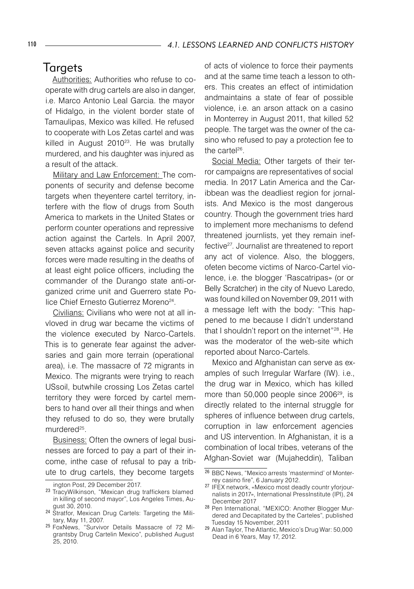### **Targets**

Authorities: Authorities who refuse to cooperate with drug cartels are also in danger, i.e. Marco Antonio Leal Garcia. the mayor of Hidalgo, in the violent border state of Tamaulipas, Mexico was killed. He refused to cooperate with Los Zetas cartel and was killed in August 2010<sup>23</sup>. He was brutally murdered, and his daughter was injured as a result of the attack.

Military and Law Enforcement: The components of security and defense become targets when theyentere cartel territory, interfere with the flow of drugs from South America to markets in the United States or perform counter operations and repressive action against the Cartels. In April 2007, seven attacks against police and security forces were made resulting in the deaths of at least eight police officers, including the commander of the Durango state anti-organized crime unit and Guerrero state Police Chief Ernesto Gutierrez Moreno<sup>24</sup>.

Civilians: Civilians who were not at all invloved in drug war became the victims of the violence executed by Narco-Cartels. This is to generate fear against the adversaries and gain more terrain (operational area), i.e. The massacre of 72 migrants in Mexico. The migrants were trying to reach USsoil, butwhile crossing Los Zetas cartel territory they were forced by cartel members to hand over all their things and when they refused to do so, they were brutally murdered<sup>25</sup>.

**Business:** Often the owners of legal businesses are forced to pay a part of their income, inthe case of refusal to pay a tribute to drug cartels, they become targets

of acts of violence to force their payments and at the same time teach a lesson to others. This creates an effect of intimidation andmaintains a state of fear of possible violence, i.e. an arson attack on a casino in Monterrey in August 2011, that killed 52 people. The target was the owner of the casino who refused to pay a protection fee to the cartel<sup>26</sup>.

Social Media: Other targets of their terror campaigns are representatives of social media. In 2017 Latin America and the Caribbean was the deadliest region for jornalists. And Mexico is the most dangerous country. Though the government tries hard to implement more mechanisms to defend threatened journlists, yet they remain ineffective27. Journalist are threatened to report any act of violence. Also, the bloggers, ofeten become victims of Narco-Cartel violence, i.e. the blogger 'Rascatripas» (or or Belly Scratcher) in the city of Nuevo Laredo, was found killed on November 09, 2011 with a message left with the body: "This happened to me because I didn't understand that I shouldn't report on the internet"28. He was the moderator of the web-site which reported about Narco-Cartels.

Mexico and Afghanistan can serve as examples of such Irregular Warfare (IW). i.e., the drug war in Mexico, which has killed more than 50,000 people since 2006<sup>29</sup>, is directly related to the internal struggle for spheres of influence between drug cartels, corruption in law enforcement agencies and US intervention. In Afghanistan, it is a combination of local tribes, veterans of the Afghan-Soviet war (Mujaheddin), Taliban

ington Post, 29 December 2017.

<sup>23</sup> TracyWilkinson, "Mexican drug traffickers blamed in killing of second mayor", Los Angeles Times, August 30, 2010.

<sup>24</sup> Stratfor, Mexican Drug Cartels: Targeting the Military, May 11, 2007.

<sup>25</sup> FoxNews, "Survivor Details Massacre of 72 Migrantsby Drug Cartelin Mexico", published August 25, 2010.

<sup>26</sup> BBC News, "Mexico arrests 'mastermind' of Monterrey casino fire", 6 January 2012.

<sup>27</sup> IFEX network, «Mexico most deadly countr yforjournalists in 2017», International PressInstitute (IPI), 24 December 2017

<sup>28</sup> Pen International, "MEXICO: Another Blogger Murdered and Decapitated by the Carteles", published Tuesday 15 November, 2011

<sup>29</sup> Alan Taylor, The Atlantic, Mexico's Drug War: 50,000 Dead in 6 Years, May 17, 2012.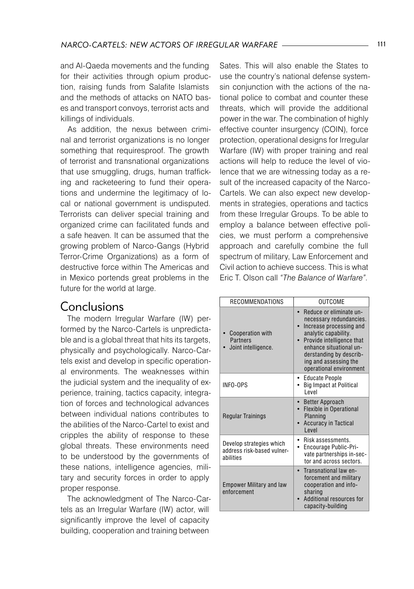and Al-Qaeda movements and the funding for their activities through opium production, raising funds from Salafite Islamists and the methods of attacks on NATO bases and transport convoys, terrorist acts and killings of individuals.

As addition, the nexus between criminal and terrorist organizations is no longer something that requiresproof. The growth of terrorist and transnational organizations that use smuggling, drugs, human trafficking and racketeering to fund their operations and undermine the legitimacy of local or national government is undisputed. Terrorists can deliver special training and organized crime can facilitated funds and a safe heaven. It can be assumed that the growing problem of Narco-Gangs (Hybrid Terror-Crime Organizations) as a form of destructive force within The Americas and in Mexico portends great problems in the future for the world at large.

### Conclusions

The modern Irregular Warfare (IW) performed by the Narco-Cartels is unpredictable and is a global threat that hits its targets, physically and psychologically. Narco-Cartels exist and develop in specific operational environments. The weaknesses within the judicial system and the inequality of experience, training, tactics capacity, integration of forces and technological advances between individual nations contributes to the abilities of the Narco-Cartel to exist and cripples the ability of response to these global threats. These environments need to be understood by the governments of these nations, intelligence agencies, military and security forces in order to apply proper response.

The acknowledgment of The Narco-Cartels as an Irregular Warfare (IW) actor, will significantly improve the level of capacity building, cooperation and training between

Sates. This will also enable the States to use the country's national defense systemsin conjunction with the actions of the national police to combat and counter these threats, which will provide the additional power in the war. The combination of highly effective counter insurgency (COIN), force protection, operational designs for Irregular Warfare (IW) with proper training and real actions will help to reduce the level of violence that we are witnessing today as a result of the increased capacity of the Narco-Cartels. We can also expect new developments in strategies, operations and tactics from these Irregular Groups. To be able to employ a balance between effective policies, we must perform a comprehensive approach and carefully combine the full spectrum of military, Law Enforcement and Civil action to achieve success. This is what Eric T. Olson call *"The Balance of Warfare"*.

| RECOMMENDATIONS                                                     | <b>OUTCOME</b>                                                                                                                                                                                                                               |
|---------------------------------------------------------------------|----------------------------------------------------------------------------------------------------------------------------------------------------------------------------------------------------------------------------------------------|
| Cooperation with<br>Partners<br>Joint intelligence.                 | Reduce or eliminate un-<br>necessary redundancies.<br>Increase processing and<br>analytic capability.<br>Provide intelligence that<br>enhance situational un-<br>derstanding by describ-<br>ing and assessing the<br>operational environment |
| INFO-OPS                                                            | <b>Educate People</b><br>٠<br><b>Big Impact at Political</b><br>I evel                                                                                                                                                                       |
| <b>Regular Trainings</b>                                            | <b>Better Approach</b><br>٠<br><b>Flexible in Operational</b><br>Planning<br><b>Accuracy in Tactical</b><br>I evel                                                                                                                           |
| Develop strategies which<br>address risk-based vulner-<br>abilities | Risk assessments.<br>٠<br>Encourage Public-Pri-<br>vate partnerships in-sec-<br>tor and across sectors.                                                                                                                                      |
| <b>Empower Military and law</b><br>enforcement                      | Transnational law en-<br>٠<br>forcement and military<br>cooperation and info-<br>sharing<br>Additional resources for<br>capacity-building                                                                                                    |